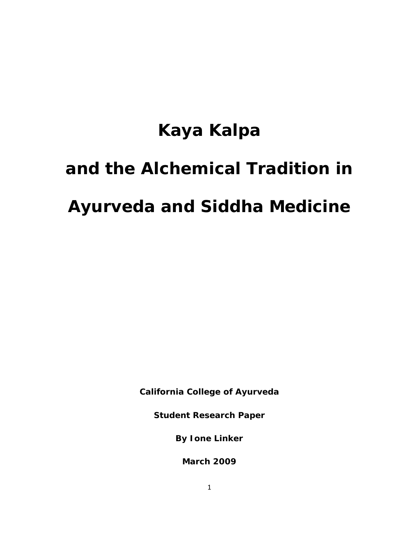# **Kaya Kalpa**

# **and the Alchemical Tradition in**

# **Ayurveda and Siddha Medicine**

**California College of Ayurveda**

**Student Research Paper**

**By Ione Linker**

**March 2009**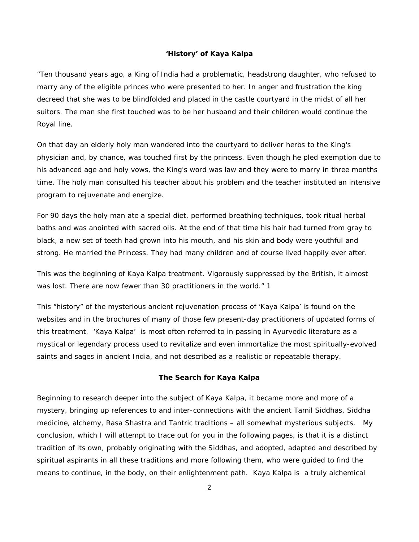#### **'History' of Kaya Kalpa**

"Ten thousand years ago, a King of India had a problematic, headstrong daughter, who refused to marry any of the eligible princes who were presented to her. In anger and frustration the king decreed that she was to be blindfolded and placed in the castle courtyard in the midst of all her suitors. The man she first touched was to be her husband and their children would continue the Royal line.

On that day an elderly holy man wandered into the courtyard to deliver herbs to the King's physician and, by chance, was touched first by the princess. Even though he pled exemption due to his advanced age and holy vows, the King's word was law and they were to marry in three months time. The holy man consulted his teacher about his problem and the teacher instituted an intensive program to rejuvenate and energize.

For 90 days the holy man ate a special diet, performed breathing techniques, took ritual herbal baths and was anointed with sacred oils. At the end of that time his hair had turned from gray to black, a new set of teeth had grown into his mouth, and his skin and body were youthful and strong. He married the Princess. They had many children and of course lived happily ever after.

This was the beginning of Kaya Kalpa treatment. Vigorously suppressed by the British, it almost was lost. There are now fewer than 30 practitioners in the world." 1

This "history" of the mysterious ancient rejuvenation process of 'Kaya Kalpa' is found on the websites and in the brochures of many of those few present-day practitioners of updated forms of this treatment. 'Kaya Kalpa' is most often referred to in passing in Ayurvedic literature as a mystical or legendary process used to revitalize and even immortalize the most spiritually-evolved saints and sages in ancient India, and not described as a realistic or repeatable therapy.

#### **The Search for Kaya Kalpa**

Beginning to research deeper into the subject of Kaya Kalpa, it became more and more of a mystery, bringing up references to and inter-connections with the ancient Tamil Siddhas, Siddha medicine, alchemy, Rasa Shastra and Tantric traditions – all somewhat mysterious subjects. My conclusion, which I will attempt to trace out for you in the following pages, is that it is a distinct tradition of its own, probably originating with the Siddhas, and adopted, adapted and described by spiritual aspirants in all these traditions and more following them, who were guided to find the means to continue, in the body, on their enlightenment path. Kaya Kalpa is a truly alchemical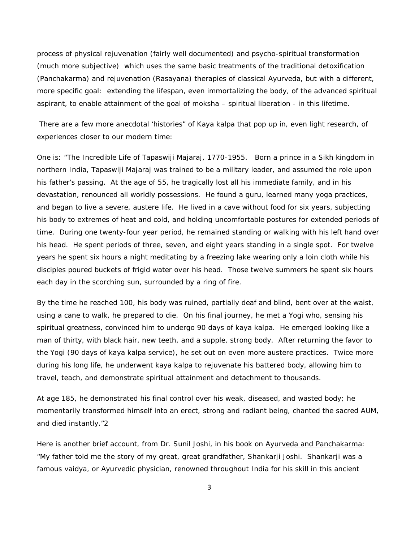process of physical rejuvenation (fairly well documented) and psycho-spiritual transformation (much more subjective) which uses the same basic treatments of the traditional detoxification (Panchakarma) and rejuvenation (Rasayana) therapies of classical Ayurveda, but with a different, more specific goal: extending the lifespan, even immortalizing the body, of the advanced spiritual aspirant, to enable attainment of the goal of *moksha* – spiritual liberation - in this lifetime.

There are a few more anecdotal 'histories" of Kaya kalpa that pop up in, even light research, of experiences closer to our modern time:

One is: "The Incredible Life of Tapaswiji Majaraj, 1770-1955. Born a prince in a Sikh kingdom in northern India, Tapaswiji Majaraj was trained to be a military leader, and assumed the role upon his father's passing. At the age of 55, he tragically lost all his immediate family, and in his devastation, renounced all worldly possessions. He found a guru, learned many yoga practices, and began to live a severe, austere life. He lived in a cave without food for six years, subjecting his body to extremes of heat and cold, and holding uncomfortable postures for extended periods of time. During one twenty-four year period, he remained standing or walking with his left hand over his head. He spent periods of three, seven, and eight years standing in a single spot. For twelve years he spent six hours a night meditating by a freezing lake wearing only a loin cloth while his disciples poured buckets of frigid water over his head. Those twelve summers he spent six hours each day in the scorching sun, surrounded by a ring of fire.

By the time he reached 100, his body was ruined, partially deaf and blind, bent over at the waist, using a cane to walk, he prepared to die. On his final journey, he met a Yogi who, sensing his spiritual greatness, convinced him to undergo 90 days of kaya kalpa. He emerged looking like a man of thirty, with black hair, new teeth, and a supple, strong body. After returning the favor to the Yogi (90 days of kaya kalpa service), he set out on even more austere practices. Twice more during his long life, he underwent kaya kalpa to rejuvenate his battered body, allowing him to travel, teach, and demonstrate spiritual attainment and detachment to thousands.

At age 185, he demonstrated his final control over his weak, diseased, and wasted body; he momentarily transformed himself into an erect, strong and radiant being, chanted the sacred AUM, and died instantly."2

Here is another brief account, from Dr. Sunil Joshi, in his book on Ayurveda and Panchakarma: "My father told me the story of my great, great grandfather, Shankarji Joshi. Shankarji was a famous vaidya, or Ayurvedic physician, renowned throughout India for his skill in this ancient

3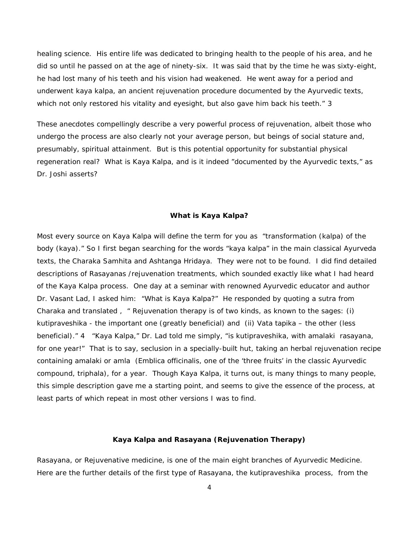healing science. His entire life was dedicated to bringing health to the people of his area, and he did so until he passed on at the age of ninety-six. It was said that by the time he was sixty-eight, he had lost many of his teeth and his vision had weakened. He went away for a period and underwent kaya kalpa, an ancient rejuvenation procedure documented by the Ayurvedic texts, which not only restored his vitality and eyesight, but also gave him back his teeth." 3

These anecdotes compellingly describe a very powerful process of rejuvenation, albeit those who undergo the process are also clearly not your average person, but beings of social stature and, presumably, spiritual attainment. But is this potential opportunity for substantial physical regeneration real? What is Kaya Kalpa, and is it indeed "documented by the Ayurvedic texts," as Dr. Joshi asserts?

## **What is Kaya Kalpa?**

Most every source on Kaya Kalpa will define the term for you as "transformation (*kalpa*) of the body (*kaya*)." So I first began searching for the words "kaya kalpa" in the main classical Ayurveda texts, the Charaka Samhita and Ashtanga Hridaya. They were not to be found. I did find detailed descriptions of Rasayanas /rejuvenation treatments, which sounded exactly like what I had heard of the Kaya Kalpa process. One day at a seminar with renowned Ayurvedic educator and author Dr. Vasant Lad, I asked him: "What is Kaya Kalpa?" He responded by quoting a sutra from Charaka and translated , " Rejuvenation therapy is of two kinds, as known to the sages: (i) *kutipraveshika* - the important one (greatly beneficial) and (ii) *Vata tapika* – the other (less beneficial)." 4 "Kaya Kalpa," Dr. Lad told me simply, "is kutipraveshika, with amalaki rasayana, for one year!" That is to say, seclusion in a specially-built hut, taking an herbal rejuvenation recipe containing amalaki or amla (Emblica officinalis, one of the 'three fruits' in the classic Ayurvedic compound, triphala), for a year. Though Kaya Kalpa, it turns out, is many things to many people, this simple description gave me a starting point, and seems to give the essence of the process, at least parts of which repeat in most other versions I was to find.

#### **Kaya Kalpa and Rasayana (Rejuvenation Therapy)**

Rasayana, or Rejuvenative medicine, is one of the main eight branches of Ayurvedic Medicine. Here are the further details of the first type of Rasayana, the *kutipraveshika* process, from the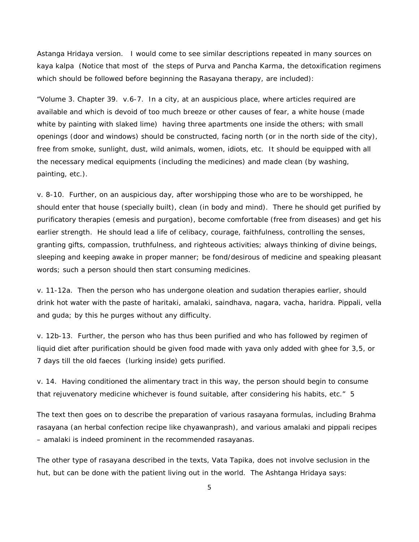Astanga Hridaya version. I would come to see similar descriptions repeated in many sources on kaya kalpa (Notice that most of the steps of Purva and Pancha Karma, the detoxification regimens which should be followed before beginning the Rasayana therapy, are included):

"Volume 3. Chapter 39. v.6-7. In a city, at an auspicious place, where articles required are available and which is devoid of too much breeze or other causes of fear, a white house (made white by painting with slaked lime) having three apartments one inside the others; with small openings (door and windows) should be constructed, facing north (or in the north side of the city), free from smoke, sunlight, dust, wild animals, women, idiots, etc. It should be equipped with all the necessary medical equipments (including the medicines) and made clean (by washing, painting, etc.).

v. 8-10. Further, on an auspicious day, after worshipping those who are to be worshipped, he should enter that house (specially built), clean (in body and mind). There he should get purified by purificatory therapies (emesis and purgation), become comfortable (free from diseases) and get his earlier strength. He should lead a life of celibacy, courage, faithfulness, controlling the senses, granting gifts, compassion, truthfulness, and righteous activities; always thinking of divine beings, sleeping and keeping awake in proper manner; be fond/desirous of medicine and speaking pleasant words; such a person should then start consuming medicines.

v. 11-12a. Then the person who has undergone oleation and sudation therapies earlier, should drink hot water with the paste of haritaki, amalaki, saindhava, nagara, vacha, haridra. Pippali, vella and guda; by this he purges without any difficulty.

v. 12b-13. Further, the person who has thus been purified and who has followed by regimen of liquid diet after purification should be given food made with yava only added with ghee for 3,5, or 7 days till the old faeces (lurking inside) gets purified.

v. 14. Having conditioned the alimentary tract in this way, the person should begin to consume that rejuvenatory medicine whichever is found suitable, after considering his habits, etc." 5

The text then goes on to describe the preparation of various rasayana formulas, including Brahma rasayana (an herbal confection recipe like chyawanprash), and various amalaki and pippali recipes – amalaki is indeed prominent in the recommended rasayanas.

The other type of rasayana described in the texts, Vata Tapika, does not involve seclusion in the hut, but can be done with the patient living out in the world. The Ashtanga Hridaya says: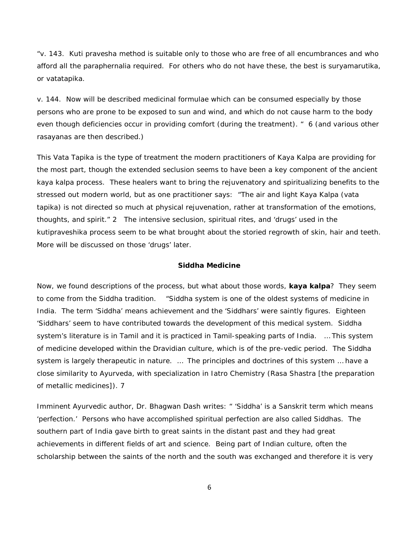"v. 143. Kuti pravesha method is suitable only to those who are free of all encumbrances and who afford all the paraphernalia required. For others who do not have these, the best is suryamarutika, or vatatapika.

v. 144. Now will be described medicinal formulae which can be consumed especially by those persons who are prone to be exposed to sun and wind, and which do not cause harm to the body even though deficiencies occur in providing comfort (during the treatment). " 6 (and various other rasayanas are then described.)

This Vata Tapika is the type of treatment the modern practitioners of Kaya Kalpa are providing for the most part, though the extended seclusion seems to have been a key component of the ancient kaya kalpa process. These healers want to bring the rejuvenatory and spiritualizing benefits to the stressed out modern world, but as one practitioner says: "The air and light Kaya Kalpa (vata tapika) is not directed so much at physical rejuvenation, rather at transformation of the emotions, thoughts, and spirit." 2 The intensive seclusion, spiritual rites, and 'drugs' used in the kutipraveshika process seem to be what brought about the storied regrowth of skin, hair and teeth. More will be discussed on those 'drugs' later.

#### **Siddha Medicine**

Now, we found descriptions of the process, but what about those words, *kaya kalpa*? They seem to come from the Siddha tradition. "Siddha system is one of the oldest systems of medicine in India. The term 'Siddha' means achievement and the 'Siddhars' were saintly figures. Eighteen 'Siddhars' seem to have contributed towards the development of this medical system. Siddha system's literature is in Tamil and it is practiced in Tamil-speaking parts of India. … This system of medicine developed within the Dravidian culture, which is of the pre-vedic period. The Siddha system is largely therapeutic in nature. ... The principles and doctrines of this system ... have a close similarity to Ayurveda, with specialization in Iatro Chemistry (Rasa Shastra [the preparation of metallic medicines]). 7

Imminent Ayurvedic author, Dr. Bhagwan Dash writes: " 'Siddha' is a Sanskrit term which means 'perfection.' Persons who have accomplished spiritual perfection are also called Siddhas. The southern part of India gave birth to great saints in the distant past and they had great achievements in different fields of art and science. Being part of Indian culture, often the scholarship between the saints of the north and the south was exchanged and therefore it is very

6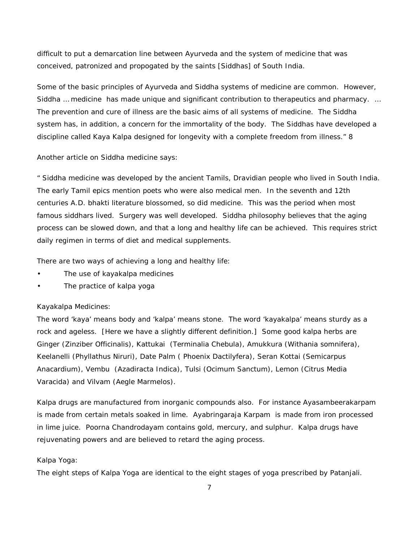difficult to put a demarcation line between Ayurveda and the system of medicine that was conceived, patronized and propogated by the saints [Siddhas] of South India.

Some of the basic principles of Ayurveda and Siddha systems of medicine are common. However, Siddha … medicine has made unique and significant contribution to therapeutics and pharmacy. … The prevention and cure of illness are the basic aims of all systems of medicine. The Siddha system has, in addition, a concern for the immortality of the body. The Siddhas have developed a discipline called Kaya Kalpa designed for longevity with a complete freedom from illness." 8

Another article on Siddha medicine says:

" Siddha medicine was developed by the ancient Tamils, Dravidian people who lived in South India. The early Tamil epics mention poets who were also medical men. In the seventh and 12th centuries A.D. bhakti literature blossomed, so did medicine. This was the period when most famous siddhars lived. Surgery was well developed. Siddha philosophy believes that the aging process can be slowed down, and that a long and healthy life can be achieved. This requires strict daily regimen in terms of diet and medical supplements.

There are two ways of achieving a long and healthy life:

- The use of kayakalpa medicines
- The practice of kalpa yoga

#### Kayakalpa Medicines:

The word 'kaya' means body and 'kalpa' means stone. The word 'kayakalpa' means sturdy as a rock and ageless. [Here we have a slightly different definition.] Some good kalpa herbs are Ginger (Zinziber Officinalis), Kattukai (Terminalia Chebula), Amukkura (Withania somnifera), Keelanelli (Phyllathus Niruri), Date Palm ( Phoenix Dactilyfera), Seran Kottai (Semicarpus Anacardium), Vembu (Azadiracta Indica), Tulsi (Ocimum Sanctum), Lemon (Citrus Media Varacida) and Vilvam (Aegle Marmelos).

Kalpa drugs are manufactured from inorganic compounds also. For instance Ayasambeerakarpam is made from certain metals soaked in lime. Ayabringaraja Karpam is made from iron processed in lime juice. Poorna Chandrodayam contains gold, mercury, and sulphur. Kalpa drugs have rejuvenating powers and are believed to retard the aging process.

#### Kalpa Yoga:

The eight steps of Kalpa Yoga are identical to the eight stages of yoga prescribed by Patanjali.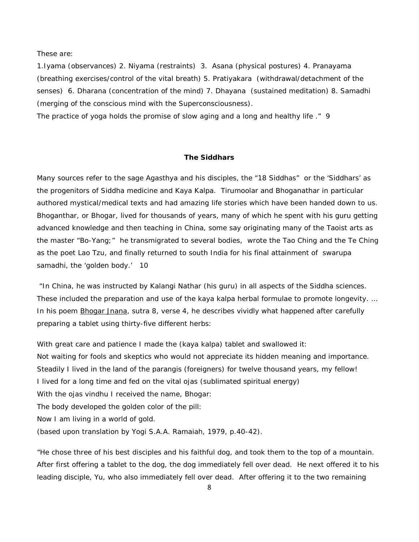These are:

1.Iyama (observances) 2. Niyama (restraints) 3. Asana (physical postures) 4. Pranayama (breathing exercises/control of the vital breath) 5. Pratiyakara (withdrawal/detachment of the senses) 6. Dharana (concentration of the mind) 7. Dhayana (sustained meditation) 8. Samadhi (merging of the conscious mind with the Superconsciousness).

The practice of yoga holds the promise of slow aging and a long and healthy life ." 9

#### **The Siddhars**

Many sources refer to the sage Agasthya and his disciples, the "18 Siddhas" or the 'Siddhars' as the progenitors of Siddha medicine and Kaya Kalpa. Tirumoolar and Bhoganathar in particular authored mystical/medical texts and had amazing life stories which have been handed down to us. Bhoganthar, or Bhogar, lived for thousands of years, many of which he spent with his guru getting advanced knowledge and then teaching in China, some say originating many of the Taoist arts as the master "Bo-Yang;" he transmigrated to several bodies, wrote the *Tao Ching* and the *Te Ching* as the poet Lao Tzu, and finally returned to south India for his final attainment of *swarupa*  samadhi, the 'golden body.' 10

"In China, he was instructed by Kalangi Nathar (his guru) in all aspects of the Siddha sciences. These included the preparation and use of the kaya kalpa herbal formulae to promote longevity. … In his poem **Bhogar Jnana**, sutra 8, verse 4, he describes vividly what happened after carefully preparing a tablet using thirty-five different herbs:

With great care and patience I made the (kaya kalpa) tablet and swallowed it: Not waiting for fools and skeptics who would not appreciate its hidden meaning and importance. Steadily I lived in the land of the parangis (foreigners) for twelve thousand years, my fellow! I lived for a long time and fed on the vital ojas (sublimated spiritual energy) With the ojas vindhu I received the name, Bhogar: The body developed the golden color of the pill: Now I am living in a world of gold. (based upon translation by Yogi S.A.A. Ramaiah, 1979, p.40-42).

"He chose three of his best disciples and his faithful dog, and took them to the top of a mountain. After first offering a tablet to the dog, the dog immediately fell over dead. He next offered it to his leading disciple, Yu, who also immediately fell over dead. After offering it to the two remaining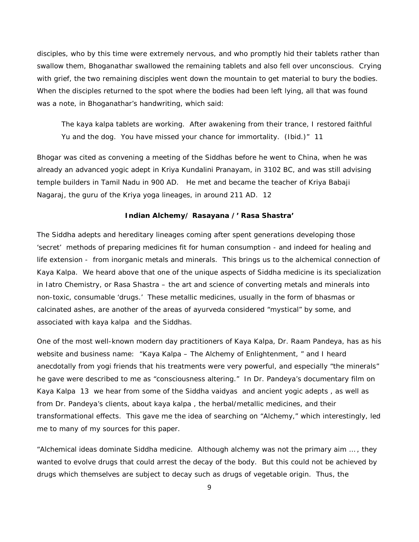disciples, who by this time were extremely nervous, and who promptly hid their tablets rather than swallow them, Bhoganathar swallowed the remaining tablets and also fell over unconscious. Crying with grief, the two remaining disciples went down the mountain to get material to bury the bodies. When the disciples returned to the spot where the bodies had been left lying, all that was found was a note, in Bhoganathar's handwriting, which said:

The kaya kalpa tablets are working. After awakening from their trance, I restored faithful Yu and the dog. You have missed your chance for immortality. (Ibid.)" 11

Bhogar was cited as convening a meeting of the Siddhas *before* he went to China, when he was already an advanced yogic adept in Kriya Kundalini Pranayam, in 3102 BC, and was still advising temple builders in Tamil Nadu in 900 AD. He met and became the teacher of Kriya Babaji Nagaraj, the guru of the Kriya yoga lineages, in around 211 AD. 12

#### **Indian Alchemy/ Rasayana /' Rasa Shastra'**

The Siddha adepts and hereditary lineages coming after spent generations developing those 'secret' methods of preparing medicines fit for human consumption - and indeed for healing and life extension - from inorganic metals and minerals. This brings us to the alchemical connection of Kaya Kalpa. We heard above that one of the unique aspects of Siddha medicine is its specialization in Iatro Chemistry, or Rasa Shastra – the art and science of converting metals and minerals into non-toxic, consumable 'drugs.' These metallic medicines, usually in the form of bhasmas or calcinated ashes, are another of the areas of ayurveda considered "mystical" by some, and associated with kaya kalpa and the Siddhas.

One of the most well-known modern day practitioners of Kaya Kalpa, Dr. Raam Pandeya, has as his website and business name: "Kaya Kalpa – The Alchemy of Enlightenment, " and I heard anecdotally from yogi friends that his treatments were very powerful, and especially "the minerals" he gave were described to me as "consciousness altering." In Dr. Pandeya's documentary film on Kaya Kalpa 13 we hear from some of the Siddha vaidyas and ancient yogic adepts , as well as from Dr. Pandeya's clients, about kaya kalpa , the herbal/metallic medicines, and their transformational effects. This gave me the idea of searching on "Alchemy," which interestingly, led me to many of my sources for this paper.

"Alchemical ideas dominate Siddha medicine. Although alchemy was not the primary aim … , they wanted to evolve drugs that could arrest the decay of the body. But this could not be achieved by drugs which themselves are subject to decay such as drugs of vegetable origin. Thus, the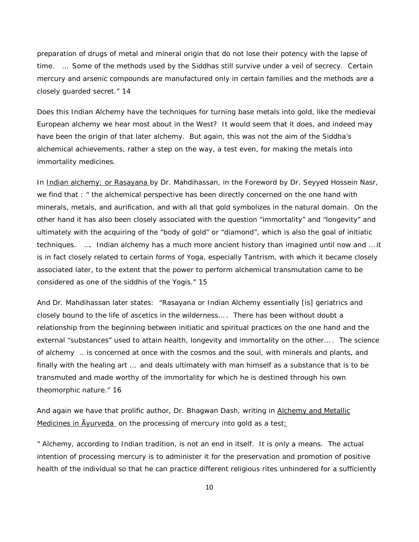preparation of drugs of metal and mineral origin that do not lose their potency with the lapse of time. … Some of the methods used by the Siddhas still survive under a veil of secrecy. Certain mercury and arsenic compounds are manufactured only in certain families and the methods are a closely guarded secret." 14

Does this Indian Alchemy have the techniques for turning base metals into gold, like the medieval European alchemy we hear most about in the West? It would seem that it does, and indeed may have been the origin of that later alchemy. But again, this was not the aim of the Siddha's alchemical achievements, rather a step on the way, a test even, for making the metals into immortality medicines.

In Indian alchemy: or Rasayana by Dr. Mahdihassan, in the Foreword by Dr. Seyyed Hossein Nasr, we find that : " the alchemical perspective has been directly concerned on the one hand with minerals, metals, and aurification, and with all that gold symbolizes in the natural domain. On the other hand it has also been closely associated with the question "immortality" and "longevity" and ultimately with the acquiring of the "body of gold" or "diamond", which is also the goal of initiatic techniques. …. Indian alchemy has a much more ancient history than imagined until now and … it is in fact closely related to certain forms of Yoga, especially Tantrism, with which it became closely associated later, to the extent that the power to perform alchemical transmutation came to be considered as one of the siddhis of the Yogis." 15

And Dr. Mahdihassan later states: "Rasayana or Indian Alchemy essentially [is] geriatrics and closely bound to the life of ascetics in the wilderness… . There has been without doubt a relationship from the beginning between initiatic and spiritual practices on the one hand and the external "substances" used to attain health, longevity and immortality on the other… . The science of alchemy .. is concerned at once with the cosmos and the soul, with minerals and plants, and finally with the healing art … and deals ultimately with man himself as a substance that is to be transmuted and made worthy of the immortality for which he is destined through his own theomorphic nature." 16

And again we have that prolific author, Dr. Bhagwan Dash, writing in Alchemy and Metallic Medicines in Ayurveda on the processing of mercury into gold as a test<u>:</u>

" Alchemy, according to Indian tradition, is not an end in itself. It is only a means. The actual intention of processing mercury is to administer it for the preservation and promotion of positive health of the individual so that he can practice different religious rites unhindered for a sufficiently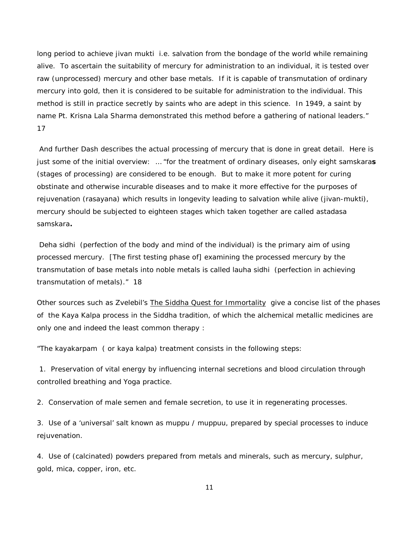long period to achieve *jivan mukti* i.e. salvation from the bondage of the world while remaining alive. To ascertain the suitability of mercury for administration to an individual, it is tested over raw (unprocessed) mercury and other base metals. If it is capable of transmutation of ordinary mercury into gold, then it is considered to be suitable for administration to the individual. This method is still in practice secretly by saints who are adept in this science. In 1949, a saint by name Pt. Krisna Lala Sharma demonstrated this method before a gathering of national leaders." 17

And further Dash describes the actual processing of mercury that is done in great detail. Here is just some of the initial overview: … "for the treatment of ordinary diseases, only eight *samskaras* (stages of processing) are considered to be enough. But to make it more potent for curing obstinate and otherwise incurable diseases and to make it more effective for the purposes of rejuvenation (rasayana) which results in longevity leading to salvation while alive (*jivan-mukti*), mercury should be subjected to eighteen stages which taken together are called *astadasa samskara.* 

*Deha sidhi* (perfection of the body and mind of the individual) is the primary aim of using processed mercury. [The first testing phase of] examining the processed mercury by the transmutation of base metals into noble metals is called *lauha sidhi* (perfection in achieving transmutation of metals)." 18

Other sources such as Zvelebil's **The Siddha Quest for Immortality** give a concise list of the phases of the Kaya Kalpa process in the Siddha tradition, of which the alchemical metallic medicines are only one and indeed the least common therapy :

"The *kayakarpam* ( or kaya kalpa) treatment consists in the following steps:

1. Preservation of vital energy by influencing internal secretions and blood circulation through controlled breathing and Yoga practice.

2. Conservation of male semen and female secretion, to use it in regenerating processes.

3. Use of a 'universal' salt known as muppu / muppuu, prepared by special processes to induce rejuvenation.

4. Use of (calcinated) powders prepared from metals and minerals, such as mercury, sulphur, gold, mica, copper, iron, etc.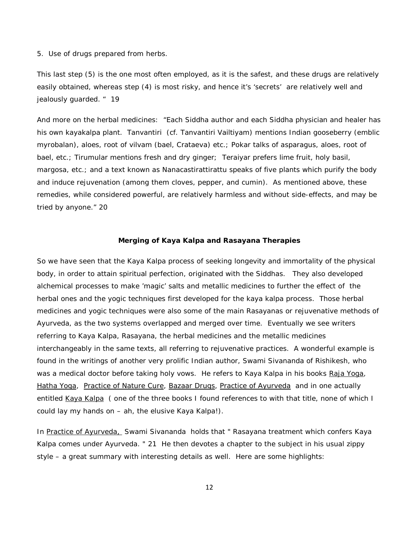5. Use of drugs prepared from herbs.

This last step (5) is the one most often employed, as it is the safest, and these drugs are relatively easily obtained, whereas step (4) is most risky, and hence it's 'secrets' are relatively well and jealously guarded. " 19

And more on the herbal medicines: "Each Siddha author and each Siddha physician and healer has his own kayakalpa plant. Tanvantiri (cf. Tanvantiri Vailtiyam) mentions Indian gooseberry (emblic myrobalan), aloes, root of vilvam (bael, Crataeva) etc.; Pokar talks of asparagus, aloes, root of bael, etc.; Tirumular mentions fresh and dry ginger; Teraiyar prefers lime fruit, holy basil, margosa, etc.; and a text known as Nanacastirattirattu speaks of five plants which purify the body and induce rejuvenation (among them cloves, pepper, and cumin). As mentioned above, these remedies, while considered powerful, are relatively harmless and without side-effects, and may be tried by anyone." 20

### **Merging of Kaya Kalpa and Rasayana Therapies**

So we have seen that the Kaya Kalpa process of seeking longevity and immortality of the physical body, in order to attain spiritual perfection, originated with the Siddhas. They also developed alchemical processes to make 'magic' salts and metallic medicines to further the effect of the herbal ones and the yogic techniques first developed for the kaya kalpa process. Those herbal medicines and yogic techniques were also some of the main Rasayanas or rejuvenative methods of Ayurveda, as the two systems overlapped and merged over time. Eventually we see writers referring to Kaya Kalpa, Rasayana, the herbal medicines and the metallic medicines interchangeably in the same texts, all referring to rejuvenative practices. A wonderful example is found in the writings of another very prolific Indian author, Swami Sivananda of Rishikesh, who was a medical doctor before taking holy vows. He refers to Kaya Kalpa in his books Raja Yoga, Hatha Yoga, Practice of Nature Cure, Bazaar Drugs, Practice of Ayurveda and in one actually entitled Kaya Kalpa ( one of the three books I found references to with that title, none of which I could lay my hands on – ah, the elusive Kaya Kalpa!).

In Practice of Ayurveda, Swami Sivananda holds that " Rasayana treatment which confers Kaya Kalpa comes under Ayurveda. " 21 He then devotes a chapter to the subject in his usual zippy style – a great summary with interesting details as well. Here are some highlights: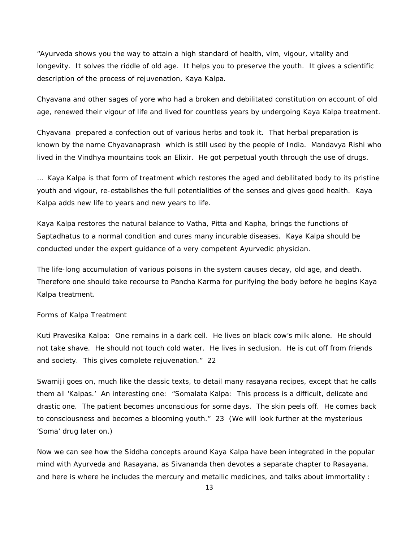"Ayurveda shows you the way to attain a high standard of health, vim, vigour, vitality and longevity. It solves the riddle of old age. It helps you to preserve the youth. It gives a scientific description of the process of rejuvenation, Kaya Kalpa.

Chyavana and other sages of yore who had a broken and debilitated constitution on account of old age, renewed their vigour of life and lived for countless years by undergoing Kaya Kalpa treatment.

Chyavana prepared a confection out of various herbs and took it. That herbal preparation is known by the name Chyavanaprash which is still used by the people of India. Mandavya Rishi who lived in the Vindhya mountains took an Elixir. He got perpetual youth through the use of drugs.

… Kaya Kalpa is that form of treatment which restores the aged and debilitated body to its pristine youth and vigour, re-establishes the full potentialities of the senses and gives good health. Kaya Kalpa adds new life to years and new years to life.

Kaya Kalpa restores the natural balance to Vatha, Pitta and Kapha, brings the functions of Saptadhatus to a normal condition and cures many incurable diseases. Kaya Kalpa should be conducted under the expert guidance of a very competent Ayurvedic physician.

The life-long accumulation of various poisons in the system causes decay, old age, and death. Therefore one should take recourse to Pancha Karma for purifying the body before he begins Kaya Kalpa treatment.

#### Forms of Kalpa Treatment

Kuti Pravesika Kalpa: One remains in a dark cell. He lives on black cow's milk alone. He should not take shave. He should not touch cold water. He lives in seclusion. He is cut off from friends and society. This gives complete rejuvenation." 22

Swamiji goes on, much like the classic texts, to detail many rasayana recipes, except that he calls them all 'Kalpas.' An interesting one: "Somalata Kalpa: This process is a difficult, delicate and drastic one. The patient becomes unconscious for some days. The skin peels off. He comes back to consciousness and becomes a blooming youth." 23 (We will look further at the mysterious 'Soma' drug later on.)

Now we can see how the Siddha concepts around Kaya Kalpa have been integrated in the popular mind with Ayurveda and Rasayana, as Sivananda then devotes a separate chapter to Rasayana, and here is where he includes the mercury and metallic medicines, and talks about immortality :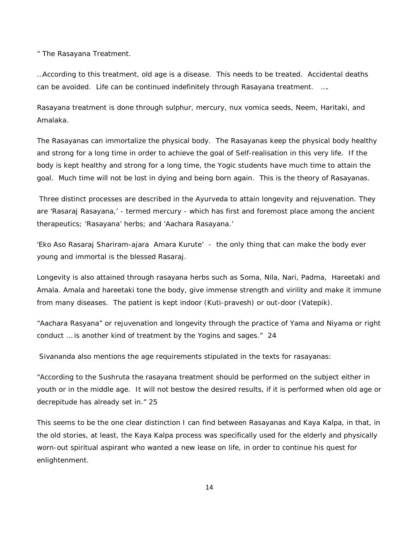" The Rasayana Treatment.

…According to this treatment, old age is a disease. This needs to be treated. Accidental deaths can be avoided. Life can be continued indefinitely through Rasayana treatment. ….

Rasayana treatment is done through sulphur, mercury, nux vomica seeds, Neem, Haritaki, and Amalaka.

The Rasayanas can immortalize the physical body. The Rasayanas keep the physical body healthy and strong for a long time in order to achieve the goal of Self-realisation in this very life. If the body is kept healthy and strong for a long time, the Yogic students have much time to attain the goal. Much time will not be lost in dying and being born again. This is the theory of Rasayanas.

Three distinct processes are described in the Ayurveda to attain longevity and rejuvenation. They are 'Rasaraj Rasayana,' - termed mercury - which has first and foremost place among the ancient therapeutics; 'Rasayana' herbs; and 'Aachara Rasayana.'

'*Eko Aso Rasaraj Shariram-ajara Amara Kurute'* - the only thing that can make the body ever young and immortal is the blessed Rasaraj.

Longevity is also attained through rasayana herbs such as Soma, Nila, Nari, Padma, Hareetaki and Amala. Amala and hareetaki tone the body, give immense strength and virility and make it immune from many diseases. The patient is kept indoor (Kuti-pravesh) or out-door (Vatepik).

"Aachara Rasyana" or rejuvenation and longevity through the practice of Yama and Niyama or right conduct … is another kind of treatment by the Yogins and sages." 24

Sivananda also mentions the age requirements stipulated in the texts for rasayanas:

"According to the Sushruta the rasayana treatment should be performed on the subject either in youth or in the middle age. It will not bestow the desired results, if it is performed when old age or decrepitude has already set in." 25

This seems to be the one clear distinction I can find between Rasayanas and Kaya Kalpa, in that, in the old stories, at least, the Kaya Kalpa process was specifically used for the elderly and physically worn-out spiritual aspirant who wanted a new lease on life, in order to continue his quest for enlightenment.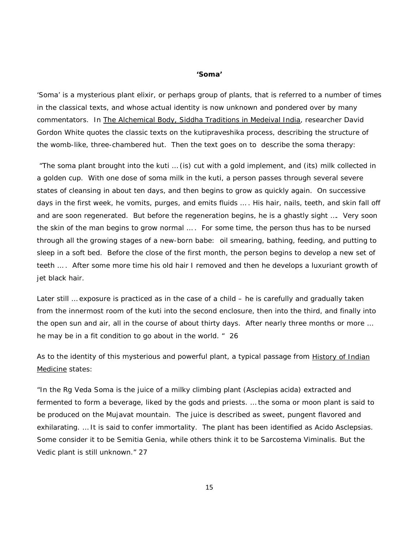#### **'Soma'**

'*Soma*' is a mysterious plant elixir, or perhaps group of plants, that is referred to a number of times in the classical texts, and whose actual identity is now unknown and pondered over by many commentators. In The Alchemical Body, Siddha Traditions in Medeival India, researcher David Gordon White quotes the classic texts on the kutipraveshika process, describing the structure of the womb-like, three-chambered hut. Then the text goes on to describe the *soma* therapy:

"The soma plant brought into the kuti … (is) cut with a gold implement, and (its) milk collected in a golden cup. With one dose of soma milk in the kuti, a person passes through several severe states of cleansing in about ten days, and then begins to grow as quickly again. On successive days in the first week, he vomits, purges, and emits fluids … . His hair, nails, teeth, and skin fall off and are soon regenerated. But before the regeneration begins, he is a ghastly sight …. Very soon the skin of the man begins to grow normal … . For some time, the person thus has to be nursed through all the growing stages of a new-born babe: oil smearing, bathing, feeding, and putting to sleep in a soft bed. Before the close of the first month, the person begins to develop a new set of teeth … . After some more time his old hair I removed and then he develops a luxuriant growth of jet black hair.

Later still … exposure is practiced as in the case of a child – he is carefully and gradually taken from the innermost room of the kuti into the second enclosure, then into the third, and finally into the open sun and air, all in the course of about thirty days. After nearly three months or more … he may be in a fit condition to go about in the world. " 26

As to the identity of this mysterious and powerful plant, a typical passage from History of Indian Medicine states:

"In the Rg Veda Soma is the juice of a milky climbing plant (Asclepias acida) extracted and fermented to form a beverage, liked by the gods and priests. … the soma or moon plant is said to be produced on the Mujavat mountain. The juice is described as sweet, pungent flavored and exhilarating. … It is said to confer immortality. The plant has been identified as Acido Asclepsias. Some consider it to be Semitia Genia, while others think it to be Sarcostema Viminalis. But the Vedic plant is still unknown." 27

15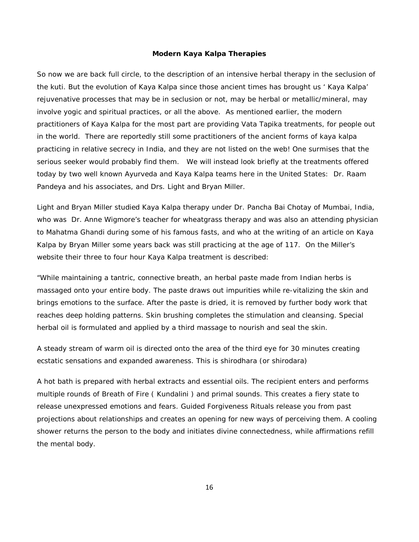#### **Modern Kaya Kalpa Therapies**

So now we are back full circle, to the description of an intensive herbal therapy in the seclusion of the kuti. But the evolution of Kaya Kalpa since those ancient times has brought us ' Kaya Kalpa' rejuvenative processes that may be in seclusion or not, may be herbal or metallic/mineral, may involve yogic and spiritual practices, or all the above. As mentioned earlier, the modern practitioners of Kaya Kalpa for the most part are providing Vata Tapika treatments, for people out in the world. There are reportedly still some practitioners of the ancient forms of kaya kalpa practicing in relative secrecy in India, and they are not listed on the web! One surmises that the serious seeker would probably find them. We will instead look briefly at the treatments offered today by two well known Ayurveda and Kaya Kalpa teams here in the United States: Dr. Raam Pandeya and his associates, and Drs. Light and Bryan Miller.

Light and Bryan Miller studied Kaya Kalpa therapy under Dr. Pancha Bai Chotay of Mumbai, India, who was Dr. Anne Wigmore's teacher for wheatgrass therapy and was also an attending physician to Mahatma Ghandi during some of his famous fasts, and who at the writing of an article on Kaya Kalpa by Bryan Miller some years back was still practicing at the age of 117. On the Miller's website their three to four hour Kaya Kalpa treatment is described:

"While maintaining a tantric, connective breath, an herbal paste made from Indian herbs is massaged onto your entire body. The paste draws out impurities while re-vitalizing the skin and brings emotions to the surface. After the paste is dried, it is removed by further body work that reaches deep holding patterns. Skin brushing completes the stimulation and cleansing. Special herbal oil is formulated and applied by a third massage to nourish and seal the skin.

A steady stream of warm oil is directed onto the area of the third eye for 30 minutes creating ecstatic sensations and expanded awareness. This is shirodhara (or shirodara)

A hot bath is prepared with herbal extracts and essential oils. The recipient enters and performs multiple rounds of Breath of Fire ( Kundalini ) and primal sounds. This creates a fiery state to release unexpressed emotions and fears. Guided Forgiveness Rituals release you from past projections about relationships and creates an opening for new ways of perceiving them. A cooling shower returns the person to the body and initiates divine connectedness, while affirmations refill the mental body.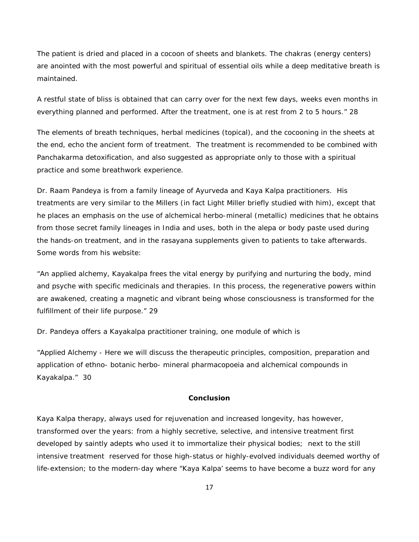The patient is dried and placed in a cocoon of sheets and blankets. The chakras (energy centers) are anointed with the most powerful and spiritual of essential oils while a deep meditative breath is maintained.

A restful state of bliss is obtained that can carry over for the next few days, weeks even months in everything planned and performed. After the treatment, one is at rest from 2 to 5 hours." 28

The elements of breath techniques, herbal medicines (topical), and the cocooning in the sheets at the end, echo the ancient form of treatment. The treatment is recommended to be combined with Panchakarma detoxification, and also suggested as appropriate only to those with a spiritual practice and some breathwork experience.

Dr. Raam Pandeya is from a family lineage of Ayurveda and Kaya Kalpa practitioners. His treatments are very similar to the Millers (in fact Light Miller briefly studied with him), except that he places an emphasis on the use of alchemical herbo-mineral (metallic) medicines that he obtains from those secret family lineages in India and uses, both in the *alepa* or body paste used during the hands-on treatment, and in the rasayana supplements given to patients to take afterwards. Some words from his website:

"An applied alchemy, Kayakalpa frees the vital energy by purifying and nurturing the body, mind and psyche with specific medicinals and therapies. In this process, the regenerative powers within are awakened, creating a magnetic and vibrant being whose consciousness is transformed for the fulfillment of their life purpose." 29

Dr. Pandeya offers a Kayakalpa practitioner training, one module of which is

"Applied Alchemy - Here we will discuss the therapeutic principles, composition, preparation and application of ethno- botanic herbo- mineral pharmacopoeia and alchemical compounds in Kayakalpa." 30

#### **Conclusion**

Kaya Kalpa therapy, always used for rejuvenation and increased longevity, has however, transformed over the years: from a highly secretive, selective, and intensive treatment first developed by saintly adepts who used it to immortalize their physical bodies; next to the still intensive treatment reserved for those high-status or highly-evolved individuals deemed worthy of life-extension; to the modern-day where "Kaya Kalpa' seems to have become a buzz word for any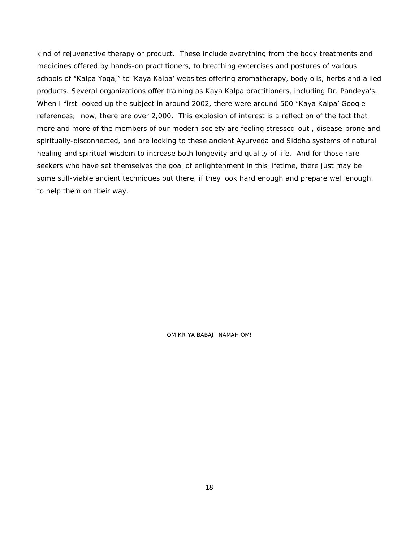kind of rejuvenative therapy or product. These include everything from the body treatments and medicines offered by hands-on practitioners, to breathing excercises and postures of various schools of "Kalpa Yoga," to 'Kaya Kalpa' websites offering aromatherapy, body oils, herbs and allied products. Several organizations offer training as Kaya Kalpa practitioners, including Dr. Pandeya's. When I first looked up the subject in around 2002, there were around 500 "Kaya Kalpa' Google references; now, there are over 2,000. This explosion of interest is a reflection of the fact that more and more of the members of our modern society are feeling stressed-out , disease-prone and spiritually-disconnected, and are looking to these ancient Ayurveda and Siddha systems of natural healing and spiritual wisdom to increase both longevity and quality of life. And for those rare seekers who have set themselves the goal of enlightenment in this lifetime, there just may be some still-viable ancient techniques out there, if they look hard enough and prepare well enough, to help them on their way.

OM KRIYA BABAJI NAMAH OM!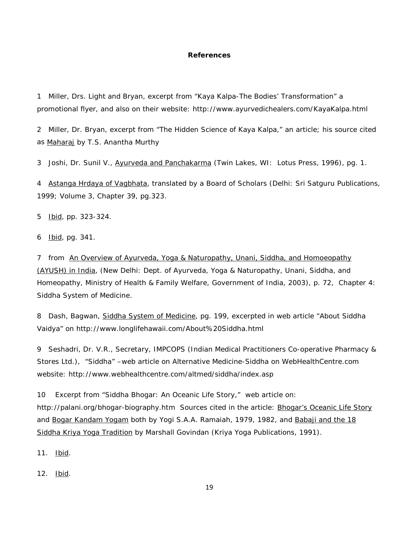#### **References**

1 Miller, Drs. Light and Bryan, excerpt from "*Kaya Kalpa-The Bodies' Transformation*" a promotional flyer, and also on their website: http://www.ayurvedichealers.com/KayaKalpa.html

2 Miller, Dr. Bryan, excerpt from "*The Hidden Science of Kaya Kalpa,"* an article; his source cited as Maharaj by T.S. Anantha Murthy

3 Joshi, Dr. Sunil V., Ayurveda and Panchakarma (Twin Lakes, WI: Lotus Press, 1996), pg. 1.

4 Astanga Hrdaya of Vagbhata, translated by a Board of Scholars (Delhi: Sri Satguru Publications, 1999; Volume 3, Chapter 39, pg.323.

5 Ibid, pp. 323-324.

6 Ibid, pg. 341.

7 from An Overview of Ayurveda, Yoga & Naturopathy, Unani, Siddha, and Homoeopathy (AYUSH) in India, (New Delhi: Dept. of Ayurveda, Yoga & Naturopathy, Unani, Siddha, and Homeopathy, Ministry of Health & Family Welfare, Government of India, 2003), p. 72, Chapter 4: Siddha System of Medicine.

8 Dash, Bagwan, Siddha System of Medicine, pg. 199, excerpted in web article "*About Siddha Vaidya*" on http://www.longlifehawaii.com/About%20Siddha.html

9 Seshadri, Dr. V.R., Secretary, IMPCOPS (Indian Medical Practitioners Co-operative Pharmacy & Stores Ltd.), "*Siddha*" –web article on Alternative Medicine-Siddha on WebHealthCentre.com website: http://www.webhealthcentre.com/altmed/siddha/index.asp

10 Excerpt from "*Siddha Bhogar: An Oceanic Life Story*," web article on: http://palani.org/bhogar-biography.htm Sources cited in the article: Bhogar's Oceanic Life Story and Bogar Kandam Yogam both by Yogi S.A.A. Ramaiah, 1979, 1982, and Babaji and the 18 Siddha Kriya Yoga Tradition by Marshall Govindan (Kriya Yoga Publications, 1991).

11. <u>Ibid</u>.

12. <u>Ibid</u>.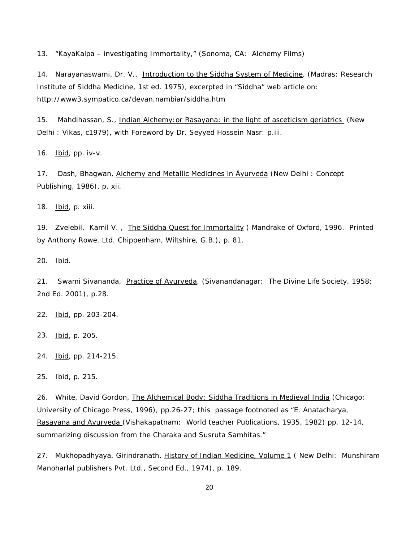13. "*KayaKalpa – investigating Immortality*," (Sonoma, CA: Alchemy Films)

14. Narayanaswami, Dr. V., Introduction to the Siddha System of Medicine. (Madras: Research Institute of Siddha Medicine, 1st ed. 1975), excerpted in "*Siddha*" web article on: http://www3.sympatico.ca/devan.nambiar/siddha.htm

15. Mahdihassan, S., Indian Alchemy: or Rasayana: in the light of asceticism geriatrics (New Delhi : Vikas, c1979), with Foreword by Dr. Seyyed Hossein Nasr: p.iii.

16. Ibid, pp. iv-v.

17. Dash, Bhagwan, Alchemy and Metallic Medicines in Ayurveda (New Delhi : Concept Publishing, 1986), p. xii.

18. Ibid, p. xiii.

19. Zvelebil, Kamil V., The Siddha Quest for Immortality (Mandrake of Oxford, 1996. Printed by Anthony Rowe. Ltd. Chippenham, Wiltshire, G.B.), p. 81.

20. Ibid.

21. Swami Sivananda, Practice of Ayurveda, (Sivanandanagar: The Divine Life Society, 1958; 2nd Ed. 2001), p.28.

22. Ibid, pp. 203-204.

23. Ibid, p. 205.

24. Ibid, pp. 214-215.

25. Ibid, p. 215.

26. White, David Gordon, The Alchemical Body: Siddha Traditions in Medieval India (Chicago: University of Chicago Press, 1996), pp.26-27; this passage footnoted as "E. Anatacharya, Rasayana and Ayurveda (Vishakapatnam: World teacher Publications, 1935, 1982) pp. 12-14, summarizing discussion from the Charaka and Susruta Samhitas."

27. Mukhopadhyaya, Girindranath, <u>History of Indian Medicine, Volume 1</u> (New Delhi: Munshiram Manoharlal publishers Pvt. Ltd., Second Ed., 1974), p. 189.